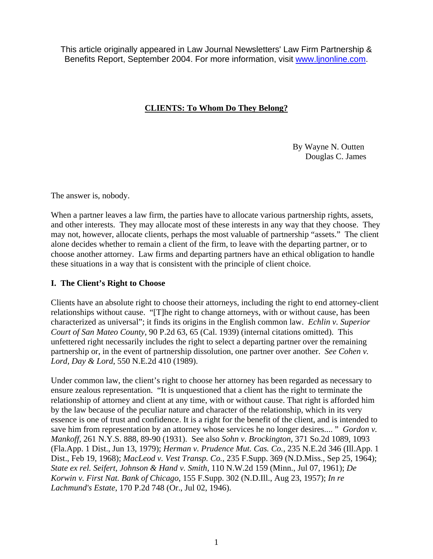This article originally appeared in Law Journal Newsletters' Law Firm Partnership & Benefits Report, September 2004. For more information, visit [www.ljnonline.com](http://www.ljnonline.com/).

# **CLIENTS: To Whom Do They Belong?**

 By Wayne N. Outten Douglas C. James

The answer is, nobody.

When a partner leaves a law firm, the parties have to allocate various partnership rights, assets, and other interests. They may allocate most of these interests in any way that they choose. They may not, however, allocate clients, perhaps the most valuable of partnership "assets." The client alone decides whether to remain a client of the firm, to leave with the departing partner, or to choose another attorney. Law firms and departing partners have an ethical obligation to handle these situations in a way that is consistent with the principle of client choice.

### **I. The Client's Right to Choose**

Clients have an absolute right to choose their attorneys, including the right to end attorney-client relationships without cause. "[T]he right to change attorneys, with or without cause, has been characterized as universal"; it finds its origins in the English common law. *Echlin v. Superior Court of San Mateo County*, 90 P.2d 63, 65 (Cal. 1939) (internal citations omitted). This unfettered right necessarily includes the right to select a departing partner over the remaining partnership or, in the event of partnership dissolution, one partner over another. *See Cohen v. Lord, Day & Lord*, 550 N.E.2d 410 (1989).

Under common law, the client's right to choose her attorney has been regarded as necessary to ensure zealous representation. "It is unquestioned that a client has the right to terminate the relationship of attorney and client at any time, with or without cause. That right is afforded him by the law because of the peculiar nature and character of the relationship, which in its very essence is one of trust and confidence. It is a right for the benefit of the client, and is intended to save him from representation by an attorney whose services he no longer desires.... " *Gordon v. Mankoff*, 261 N.Y.S. 888, 89-90 (1931). See also *Sohn v. Brockington*, 371 So.2d 1089, 1093 (Fla.App. 1 Dist., Jun 13, 1979); *Herman v. Prudence Mut. Cas. Co.*, 235 N.E.2d 346 (Ill.App. 1 Dist., Feb 19, 1968); *MacLeod v. Vest Transp. Co.*, 235 F.Supp. 369 (N.D.Miss., Sep 25, 1964); *State ex rel. Seifert, Johnson & Hand v. Smith*, 110 N.W.2d 159 (Minn., Jul 07, 1961); *De Korwin v. First Nat. Bank of Chicago*, 155 F.Supp. 302 (N.D.Ill., Aug 23, 1957); *In re Lachmund's Estate*, 170 P.2d 748 (Or., Jul 02, 1946).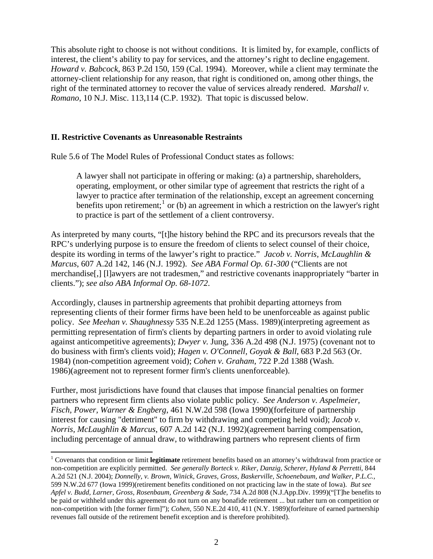This absolute right to choose is not without conditions. It is limited by, for example, conflicts of interest, the client's ability to pay for services, and the attorney's right to decline engagement. *Howard v. Babcock*, 863 P.2d 150, 159 (Cal. 1994). Moreover, while a client may terminate the attorney-client relationship for any reason, that right is conditioned on, among other things, the right of the terminated attorney to recover the value of services already rendered. *Marshall v. Romano*, 10 N.J. Misc. 113,114 (C.P. 1932). That topic is discussed below.

#### **II. Restrictive Covenants as Unreasonable Restraints**

 $\overline{a}$ 

Rule 5.6 of The Model Rules of Professional Conduct states as follows:

A lawyer shall not participate in offering or making: (a) a partnership, shareholders, operating, employment, or other similar type of agreement that restricts the right of a lawyer to practice after termination of the relationship, except an agreement concerning benefits upon retirement;<sup>[1](#page-1-0)</sup> or (b) an agreement in which a restriction on the lawyer's right to practice is part of the settlement of a client controversy.

As interpreted by many courts, "[t]he history behind the RPC and its precursors reveals that the RPC's underlying purpose is to ensure the freedom of clients to select counsel of their choice, despite its wording in terms of the lawyer's right to practice." *Jacob v. Norris, McLaughlin & Marcus*, 607 A.2d 142, 146 (N.J. 1992). *See ABA Formal Op. 61-300* ("Clients are not merchandise[,] [l]awyers are not tradesmen," and restrictive covenants inappropriately "barter in clients."); *see also ABA Informal Op. 68-1072*.

Accordingly, clauses in partnership agreements that prohibit departing attorneys from representing clients of their former firms have been held to be unenforceable as against public policy. *See Meehan v. Shaughnessy* 535 N.E.2d 1255 (Mass. 1989)(interpreting agreement as permitting representation of firm's clients by departing partners in order to avoid violating rule against anticompetitive agreements); *Dwyer v.* Jung, 336 A.2d 498 (N.J. 1975) (covenant not to do business with firm's clients void); *Hagen v. O'Connell, Goyak & Ball*, 683 P.2d 563 (Or. 1984) (non-competition agreement void); *Cohen v. Graham*, 722 P.2d 1388 (Wash. 1986)(agreement not to represent former firm's clients unenforceable).

Further, most jurisdictions have found that clauses that impose financial penalties on former partners who represent firm clients also violate public policy. *See Anderson v. Aspelmeier, Fisch, Power, Warner & Engberg*, 461 N.W.2d 598 (Iowa 1990)(forfeiture of partnership interest for causing "detriment" to firm by withdrawing and competing held void); *Jacob v. Norris, McLaughlin & Marcus*, 607 A.2d 142 (N.J. 1992)(agreement barring compensation, including percentage of annual draw, to withdrawing partners who represent clients of firm

<span id="page-1-0"></span><sup>&</sup>lt;sup>1</sup> Covenants that condition or limit **legitimate** retirement benefits based on an attorney's withdrawal from practice or non-competition are explicitly permitted. *See generally Borteck v. Riker, Danzig, Scherer, Hyland & Perretti*, 844 A.2d 521 (N.J. 2004); *Donnelly, v. Brown, Winick, Graves, Gross, Baskerville, Schoenebaum, and Walker, P.L.C.,* 599 N.W.2d 677 (Iowa 1999)(retirement benefits conditioned on not practicing law in the state of Iowa). *But see Apfel v. Budd, Larner, Gross, Rosenbaum, Greenberg & Sade*, 734 A.2d 808 (N.J.App.Div. 1999)("[T]he benefits to be paid or withheld under this agreement do not turn on any bonafide retirement ... but rather turn on competition or non-competition with [the former firm]"); *Cohen*, 550 N.E.2d 410, 411 (N.Y. 1989)(forfeiture of earned partnership revenues fall outside of the retirement benefit exception and is therefore prohibited).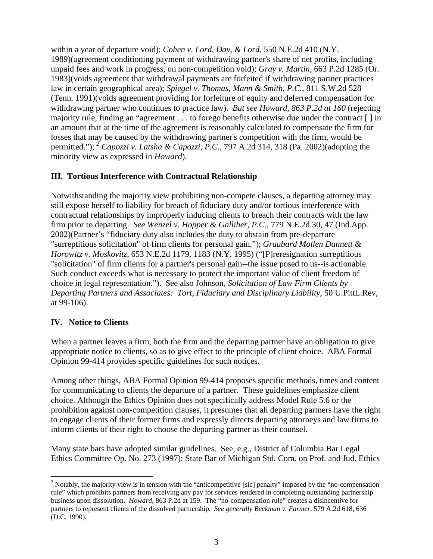within a year of departure void); *Cohen v. Lord, Day, & Lord*, 550 N.E.2d 410 (N.Y. 1989)(agreement conditioning payment of withdrawing partner's share of net profits, including unpaid fees and work in progress, on non-competition void); *Gray v. Martin*, 663 P.2d 1285 (Or. 1983)(voids agreement that withdrawal payments are forfeited if withdrawing partner practices law in certain geographical area); *Spiegel v. Thomas, Mann & Smith, P.C.*, 811 S.W.2d 528 (Tenn. 1991)(voids agreement providing for forfeiture of equity and deferred compensation for withdrawing partner who continues to practice law). *But see Howard, 863 P.2d at 160* (rejecting majority rule, finding an "agreement . . . to forego benefits otherwise due under the contract [ ] in an amount that at the time of the agreement is reasonably calculated to compensate the firm for losses that may be caused by the withdrawing partner's competition with the firm, would be permitted."); [2](#page-2-0) *Capozzi v. Latsha & Capozzi, P.C.*, 797 A.2d 314, 318 (Pa. 2002)(adopting the minority view as expressed in *Howard*).

## **III. Tortious Interference with Contractual Relationship**

Notwithstanding the majority view prohibiting non-compete clauses, a departing attorney may still expose herself to liability for breach of fiduciary duty and/or tortious interference with contractual relationships by improperly inducing clients to breach their contracts with the law firm prior to departing. *See Wenzel v. Hopper & Galliher, P.C.*, 779 N.E.2d 30, 47 (Ind.App. 2002)(Partner's "fiduciary duty also includes the duty to abstain from pre-departure "surreptitious solicitation" of firm clients for personal gain."); *Graubard Mollen Dannett & Horowitz v. Moskovitz*, 653 N.E.2d 1179, 1183 (N.Y. 1995) ("[P]reresignation surreptitious "solicitation" of firm clients for a partner's personal gain--the issue posed to us--is actionable. Such conduct exceeds what is necessary to protect the important value of client freedom of choice in legal representation."). See also Johnson, *Solicitation of Law Firm Clients by Departing Partners and Associates: Tort, Fiduciary and Disciplinary Liability*, 50 U.PittL.Rev, at 99-106).

### **IV. Notice to Clients**

When a partner leaves a firm, both the firm and the departing partner have an obligation to give appropriate notice to clients, so as to give effect to the principle of client choice. ABA Formal Opinion 99-414 provides specific guidelines for such notices.

Among other things, ABA Formal Opinion 99-414 proposes specific methods, times and content for communicating to clients the departure of a partner. These guidelines emphasize client choice. Although the Ethics Opinion does not specifically address Model Rule 5.6 or the prohibition against non-competition clauses, it presumes that all departing partners have the right to engage clients of their former firms and expressly directs departing attorneys and law firms to inform clients of their right to choose the departing partner as their counsel.

Many state bars have adopted similar guidelines. See, e.g., District of Columbia Bar Legal Ethics Committee Op. No. 273 (1997); State Bar of Michigan Std. Com. on Prof. and Jud. Ethics

<span id="page-2-0"></span> $\overline{a}$ <sup>2</sup> Notably, the majority view is in tension with the "anticompetitive [sic] penalty" imposed by the "no-compensation rule" which prohibits partners from receiving any pay for services rendered in completing outstanding partnership business upon dissolution. *Howard*, 863 P.2d at 159. The "no-compensation rule" creates a disincentive for partners to represent clients of the dissolved partnership. *See generally Beckman v. Farmer*, 579 A.2d 618, 636 (D.C. 1990).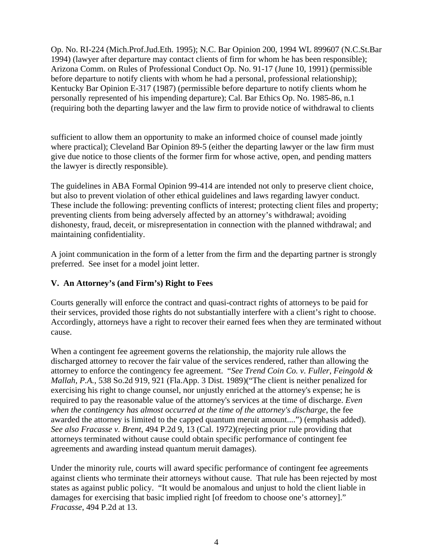Op. No. RI-224 (Mich.Prof.Jud.Eth. 1995); N.C. Bar Opinion 200, 1994 WL 899607 (N.C.St.Bar 1994) (lawyer after departure may contact clients of firm for whom he has been responsible); Arizona Comm. on Rules of Professional Conduct Op. No. 91-17 (June 10, 1991) (permissible before departure to notify clients with whom he had a personal, professional relationship); Kentucky Bar Opinion E-317 (1987) (permissible before departure to notify clients whom he personally represented of his impending departure); Cal. Bar Ethics Op. No. 1985-86, n.1 (requiring both the departing lawyer and the law firm to provide notice of withdrawal to clients

sufficient to allow them an opportunity to make an informed choice of counsel made jointly where practical); Cleveland Bar Opinion 89-5 (either the departing lawyer or the law firm must give due notice to those clients of the former firm for whose active, open, and pending matters the lawyer is directly responsible).

The guidelines in ABA Formal Opinion 99-414 are intended not only to preserve client choice, but also to prevent violation of other ethical guidelines and laws regarding lawyer conduct. These include the following: preventing conflicts of interest; protecting client files and property; preventing clients from being adversely affected by an attorney's withdrawal; avoiding dishonesty, fraud, deceit, or misrepresentation in connection with the planned withdrawal; and maintaining confidentiality.

A joint communication in the form of a letter from the firm and the departing partner is strongly preferred. See inset for a model joint letter.

# **V. An Attorney's (and Firm's) Right to Fees**

Courts generally will enforce the contract and quasi-contract rights of attorneys to be paid for their services, provided those rights do not substantially interfere with a client's right to choose. Accordingly, attorneys have a right to recover their earned fees when they are terminated without cause.

When a contingent fee agreement governs the relationship, the majority rule allows the discharged attorney to recover the fair value of the services rendered, rather than allowing the attorney to enforce the contingency fee agreement. "*See Trend Coin Co. v. Fuller, Feingold & Mallah, P.A.*, 538 So.2d 919, 921 (Fla.App. 3 Dist. 1989)("The client is neither penalized for exercising his right to change counsel, nor unjustly enriched at the attorney's expense; he is required to pay the reasonable value of the attorney's services at the time of discharge. *Even when the contingency has almost occurred at the time of the attorney's discharge*, the fee awarded the attorney is limited to the capped quantum meruit amount....") (emphasis added). *See also Fracasse v. Brent*, 494 P.2d 9, 13 (Cal. 1972)(rejecting prior rule providing that attorneys terminated without cause could obtain specific performance of contingent fee agreements and awarding instead quantum meruit damages).

Under the minority rule, courts will award specific performance of contingent fee agreements against clients who terminate their attorneys without cause. That rule has been rejected by most states as against public policy. "It would be anomalous and unjust to hold the client liable in damages for exercising that basic implied right [of freedom to choose one's attorney]." *Fracasse*, 494 P.2d at 13.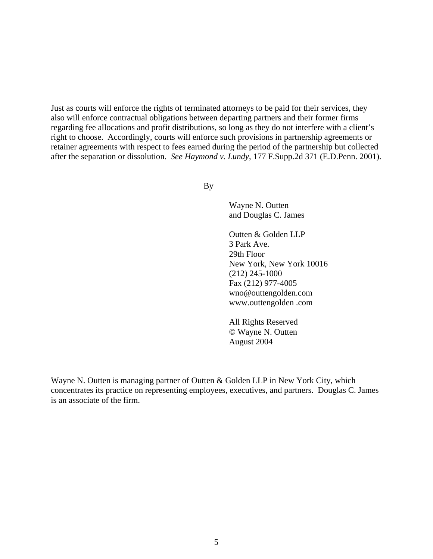Just as courts will enforce the rights of terminated attorneys to be paid for their services, they also will enforce contractual obligations between departing partners and their former firms regarding fee allocations and profit distributions, so long as they do not interfere with a client's right to choose. Accordingly, courts will enforce such provisions in partnership agreements or retainer agreements with respect to fees earned during the period of the partnership but collected after the separation or dissolution. *See Haymond v. Lundy*, 177 F.Supp.2d 371 (E.D.Penn. 2001).

By

Wayne N. Outten and Douglas C. James

Outten & Golden LLP 3 Park Ave. 29th Floor New York, New York 10016 (212) 245-1000 Fax (212) 977-4005 wno@outtengolden.com www.outtengolden .com

All Rights Reserved © Wayne N. Outten August 2004

Wayne N. Outten is managing partner of Outten & Golden LLP in New York City, which concentrates its practice on representing employees, executives, and partners. Douglas C. James is an associate of the firm.